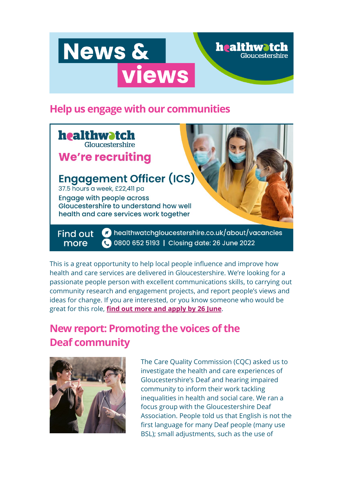# News & views

## **Help us engage with our communities**



This is a great opportunity to help local people influence and improve how health and care services are delivered in Gloucestershire. We're looking for a passionate people person with excellent communications skills, to carrying out community research and engagement projects, and report people's views and ideas for change. If you are interested, or you know someone who would be great for this role, **[find out more and apply by 26 June](https://healthwatchgloucestershire.us3.list-manage.com/track/click?u=381cee1830e9e27f34f9e64ab&id=f95845aed9&e=5a7d9dae3a)**.

# **New report: Promoting the voices of the Deaf community**



The Care Quality Commission (CQC) asked us to investigate the health and care experiences of Gloucestershire's Deaf and hearing impaired community to inform their work tackling inequalities in health and social care. We ran a focus group with the Gloucestershire Deaf Association. People told us that English is not the first language for many Deaf people (many use BSL); small adjustments, such as the use of

**healthwatch**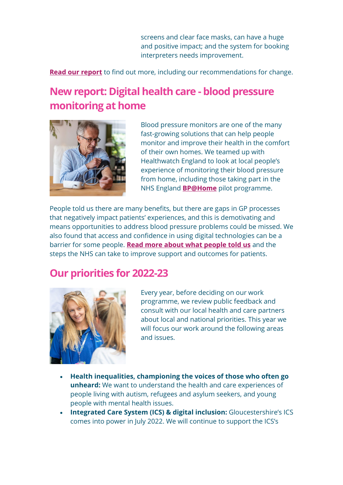screens and clear face masks, can have a huge and positive impact; and the system for booking interpreters needs improvement.

**[Read our report](https://healthwatchgloucestershire.us3.list-manage.com/track/click?u=381cee1830e9e27f34f9e64ab&id=83ad3c2d75&e=5a7d9dae3a)** to find out more, including our recommendations for change.

# **New report: Digital health care - blood pressure monitoring at home**



Blood pressure monitors are one of the many fast-growing solutions that can help people monitor and improve their health in the comfort of their own homes. We teamed up with Healthwatch England to look at local people's experience of monitoring their blood pressure from home, including those taking part in the NHS England **[BP@Home](https://healthwatchgloucestershire.us3.list-manage.com/track/click?u=381cee1830e9e27f34f9e64ab&id=ec487388a9&e=5a7d9dae3a)** pilot programme.

People told us there are many benefits, but there are gaps in GP processes that negatively impact patients' experiences, and this is demotivating and means opportunities to address blood pressure problems could be missed. We also found that access and confidence in using digital technologies can be a barrier for some people. **[Read more about what people told us](https://healthwatchgloucestershire.us3.list-manage.com/track/click?u=381cee1830e9e27f34f9e64ab&id=197c82b041&e=5a7d9dae3a)** and the steps the NHS can take to improve support and outcomes for patients.

## **Our priorities for 2022-23**



Every year, before deciding on our work programme, we review public feedback and consult with our local health and care partners about local and national priorities. This year we will focus our work around the following areas and issues.

- **Health inequalities, championing the voices of those who often go unheard:** We want to understand the health and care experiences of people living with autism, refugees and asylum seekers, and young people with mental health issues.
- **Integrated Care System (ICS) & digital inclusion:** Gloucestershire's ICS comes into power in July 2022. We will continue to support the ICS's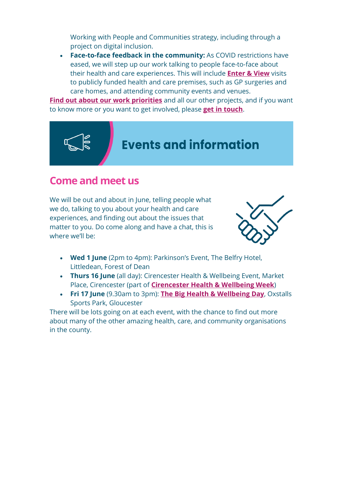Working with People and Communities strategy, including through a project on digital inclusion.

• **Face-to-face feedback in the community:** As COVID restrictions have eased, we will step up our work talking to people face-to-face about their health and care experiences. This will include **[Enter & View](https://healthwatchgloucestershire.us3.list-manage.com/track/click?u=381cee1830e9e27f34f9e64ab&id=749521a118&e=5a7d9dae3a)** visits to publicly funded health and care premises, such as GP surgeries and care homes, and attending community events and venues.

**[Find out about our work priorities](https://healthwatchgloucestershire.us3.list-manage.com/track/click?u=381cee1830e9e27f34f9e64ab&id=51196311fc&e=5a7d9dae3a)** and all our other projects, and if you want to know more or you want to get involved, please **[get in touch](https://healthwatchgloucestershire.us3.list-manage.com/track/click?u=381cee1830e9e27f34f9e64ab&id=919f17e47a&e=5a7d9dae3a)**.



### **Come and meet us**

We will be out and about in June, telling people what we do, talking to you about your health and care experiences, and finding out about the issues that matter to you. Do come along and have a chat, this is where we'll be:



- **Wed 1 June** (2pm to 4pm): Parkinson's Event, The Belfry Hotel, Littledean, Forest of Dean
- **Thurs 16 June** (all day): Cirencester Health & Wellbeing Event, Market Place, Cirencester (part of **[Cirencester Health & Wellbeing Week](https://healthwatchgloucestershire.us3.list-manage.com/track/click?u=381cee1830e9e27f34f9e64ab&id=871e0c4fcb&e=5a7d9dae3a)**)
- **Fri 17 June** (9.30am to 3pm): **[The Big Health & Wellbeing Day](https://healthwatchgloucestershire.us3.list-manage.com/track/click?u=381cee1830e9e27f34f9e64ab&id=de88c4b3c9&e=5a7d9dae3a)**, Oxstalls Sports Park, Gloucester

There will be lots going on at each event, with the chance to find out more about many of the other amazing health, care, and community organisations in the county.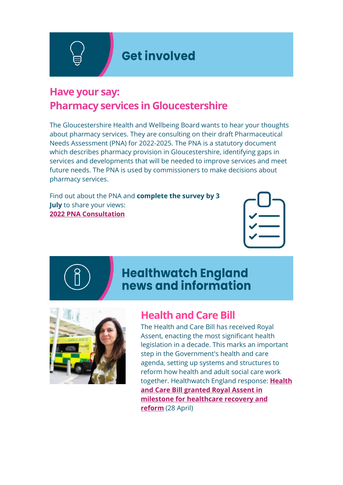**Get involved** 

## **Have your say: Pharmacy services in Gloucestershire**

The Gloucestershire Health and Wellbeing Board wants to hear your thoughts about pharmacy services. They are consulting on their draft Pharmaceutical Needs Assessment (PNA) for 2022-2025. The PNA is a statutory document which describes pharmacy provision in Gloucestershire, identifying gaps in services and developments that will be needed to improve services and meet future needs. The PNA is used by commissioners to make decisions about pharmacy services.

Find out about the PNA and **complete the survey by 3 July** to share your views: **[2022 PNA Consultation](https://healthwatchgloucestershire.us3.list-manage.com/track/click?u=381cee1830e9e27f34f9e64ab&id=fba288a6bd&e=5a7d9dae3a)**



# **Healthwatch England** news and information



## **Health and Care Bill**

The Health and Care Bill has received Royal Assent, enacting the most significant health legislation in a decade. This marks an important step in the Government's health and care agenda, setting up systems and structures to reform how health and adult social care work together. Healthwatch England response: **[Health](https://healthwatchgloucestershire.us3.list-manage.com/track/click?u=381cee1830e9e27f34f9e64ab&id=67b0e9aa48&e=5a7d9dae3a)  [and Care Bill granted Royal Assent in](https://healthwatchgloucestershire.us3.list-manage.com/track/click?u=381cee1830e9e27f34f9e64ab&id=67b0e9aa48&e=5a7d9dae3a)  [milestone for healthcare recovery and](https://healthwatchgloucestershire.us3.list-manage.com/track/click?u=381cee1830e9e27f34f9e64ab&id=67b0e9aa48&e=5a7d9dae3a)  [reform](https://healthwatchgloucestershire.us3.list-manage.com/track/click?u=381cee1830e9e27f34f9e64ab&id=67b0e9aa48&e=5a7d9dae3a)** (28 April)